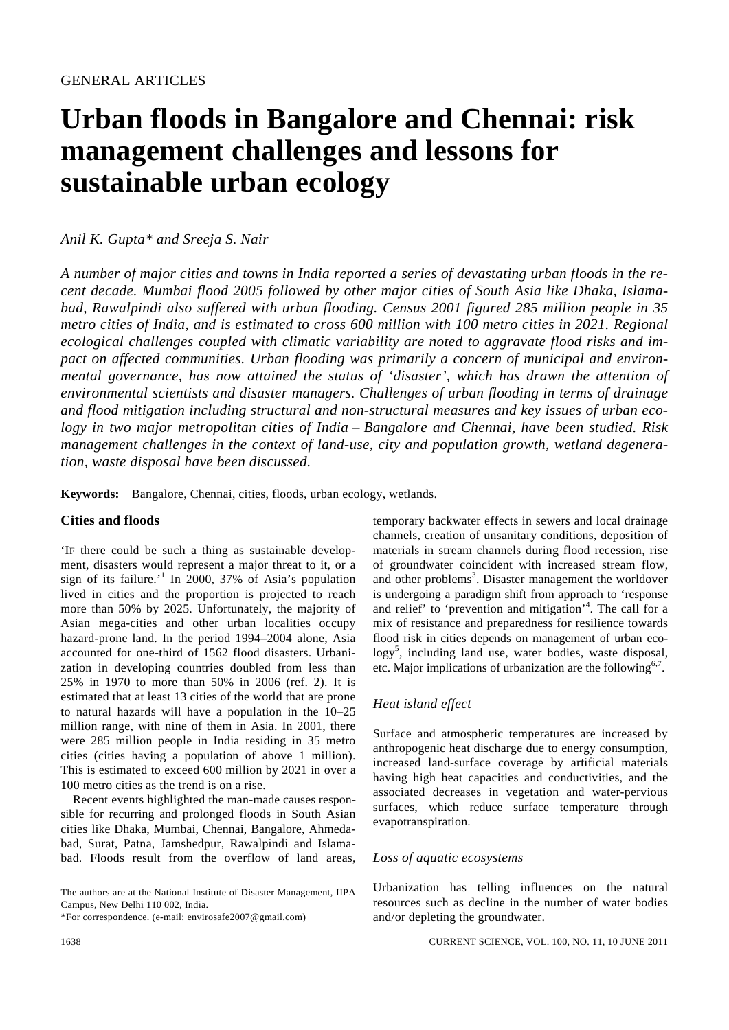# **Urban floods in Bangalore and Chennai: risk management challenges and lessons for sustainable urban ecology**

*Anil K. Gupta\* and Sreeja S. Nair*

*A number of major cities and towns in India reported a series of devastating urban floods in the recent decade. Mumbai flood 2005 followed by other major cities of South Asia like Dhaka, Islamabad, Rawalpindi also suffered with urban flooding. Census 2001 figured 285 million people in 35 metro cities of India, and is estimated to cross 600 million with 100 metro cities in 2021. Regional ecological challenges coupled with climatic variability are noted to aggravate flood risks and impact on affected communities. Urban flooding was primarily a concern of municipal and environmental governance, has now attained the status of 'disaster', which has drawn the attention of environmental scientists and disaster managers. Challenges of urban flooding in terms of drainage and flood mitigation including structural and non-structural measures and key issues of urban ecology in two major metropolitan cities of India – Bangalore and Chennai, have been studied. Risk management challenges in the context of land-use, city and population growth, wetland degeneration, waste disposal have been discussed.* 

**Keywords:** Bangalore, Chennai, cities, floods, urban ecology, wetlands.

# **Cities and floods**

'IF there could be such a thing as sustainable development, disasters would represent a major threat to it, or a sign of its failure.<sup>1</sup> In 2000, 37% of Asia's population lived in cities and the proportion is projected to reach more than 50% by 2025. Unfortunately, the majority of Asian mega-cities and other urban localities occupy hazard-prone land. In the period 1994–2004 alone, Asia accounted for one-third of 1562 flood disasters. Urbanization in developing countries doubled from less than 25% in 1970 to more than 50% in 2006 (ref. 2). It is estimated that at least 13 cities of the world that are prone to natural hazards will have a population in the 10–25 million range, with nine of them in Asia. In 2001, there were 285 million people in India residing in 35 metro cities (cities having a population of above 1 million). This is estimated to exceed 600 million by 2021 in over a 100 metro cities as the trend is on a rise.

 Recent events highlighted the man-made causes responsible for recurring and prolonged floods in South Asian cities like Dhaka, Mumbai, Chennai, Bangalore, Ahmedabad, Surat, Patna, Jamshedpur, Rawalpindi and Islamabad. Floods result from the overflow of land areas,

\*For correspondence. (e-mail: envirosafe2007@gmail.com)

temporary backwater effects in sewers and local drainage channels, creation of unsanitary conditions, deposition of materials in stream channels during flood recession, rise of groundwater coincident with increased stream flow, and other problems<sup>3</sup>. Disaster management the worldover is undergoing a paradigm shift from approach to 'response and relief' to 'prevention and mitigation'<sup>4</sup>. The call for a mix of resistance and preparedness for resilience towards flood risk in cities depends on management of urban ecology<sup>5</sup>, including land use, water bodies, waste disposal, etc. Major implications of urbanization are the following<sup>6,7</sup>.

# *Heat island effect*

Surface and atmospheric temperatures are increased by anthropogenic heat discharge due to energy consumption, increased land-surface coverage by artificial materials having high heat capacities and conductivities, and the associated decreases in vegetation and water-pervious surfaces, which reduce surface temperature through evapotranspiration.

## *Loss of aquatic ecosystems*

Urbanization has telling influences on the natural resources such as decline in the number of water bodies and/or depleting the groundwater.

The authors are at the National Institute of Disaster Management, IIPA Campus, New Delhi 110 002, India.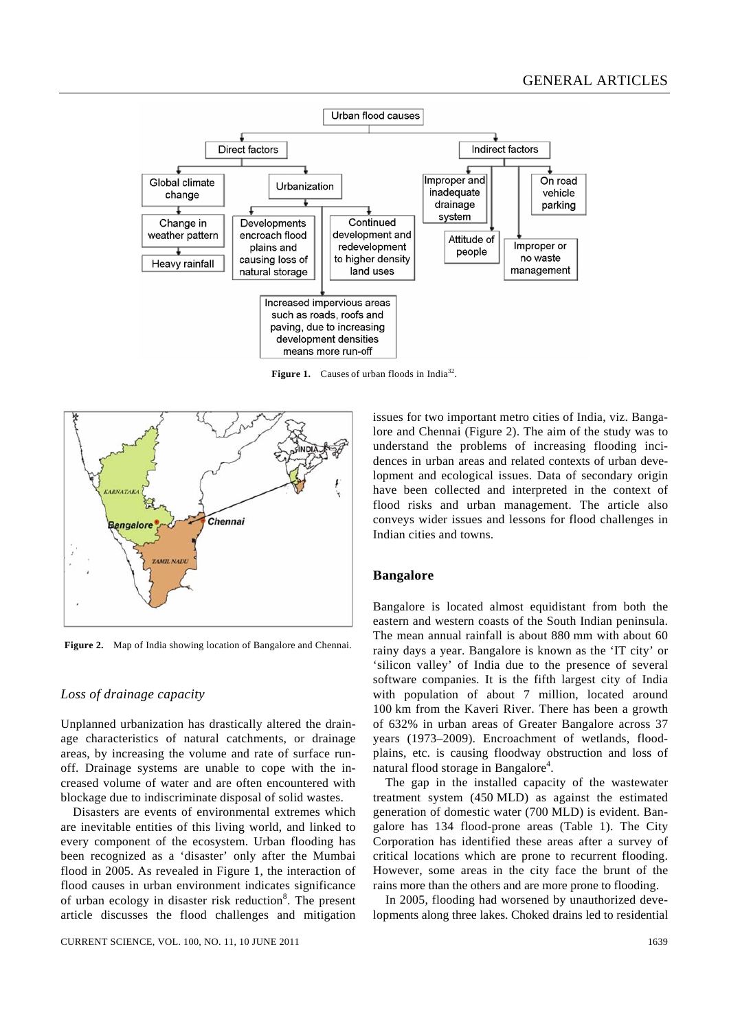

Figure 1. Causes of urban floods in India<sup>32</sup>.



**Figure 2.** Map of India showing location of Bangalore and Chennai.

## *Loss of drainage capacity*

Unplanned urbanization has drastically altered the drainage characteristics of natural catchments, or drainage areas, by increasing the volume and rate of surface runoff. Drainage systems are unable to cope with the increased volume of water and are often encountered with blockage due to indiscriminate disposal of solid wastes.

 Disasters are events of environmental extremes which are inevitable entities of this living world, and linked to every component of the ecosystem. Urban flooding has been recognized as a 'disaster' only after the Mumbai flood in 2005. As revealed in Figure 1, the interaction of flood causes in urban environment indicates significance of urban ecology in disaster risk reduction<sup>8</sup>. The present article discusses the flood challenges and mitigation

issues for two important metro cities of India, viz. Bangalore and Chennai (Figure 2). The aim of the study was to understand the problems of increasing flooding incidences in urban areas and related contexts of urban development and ecological issues. Data of secondary origin have been collected and interpreted in the context of flood risks and urban management. The article also conveys wider issues and lessons for flood challenges in Indian cities and towns.

#### **Bangalore**

Bangalore is located almost equidistant from both the eastern and western coasts of the South Indian peninsula. The mean annual rainfall is about 880 mm with about 60 rainy days a year. Bangalore is known as the 'IT city' or 'silicon valley' of India due to the presence of several software companies. It is the fifth largest city of India with population of about 7 million, located around 100 km from the Kaveri River. There has been a growth of 632% in urban areas of Greater Bangalore across 37 years (1973–2009). Encroachment of wetlands, floodplains, etc. is causing floodway obstruction and loss of natural flood storage in Bangalore<sup>4</sup>.

 The gap in the installed capacity of the wastewater treatment system (450 MLD) as against the estimated generation of domestic water (700 MLD) is evident. Bangalore has 134 flood-prone areas (Table 1). The City Corporation has identified these areas after a survey of critical locations which are prone to recurrent flooding. However, some areas in the city face the brunt of the rains more than the others and are more prone to flooding.

 In 2005, flooding had worsened by unauthorized developments along three lakes. Choked drains led to residential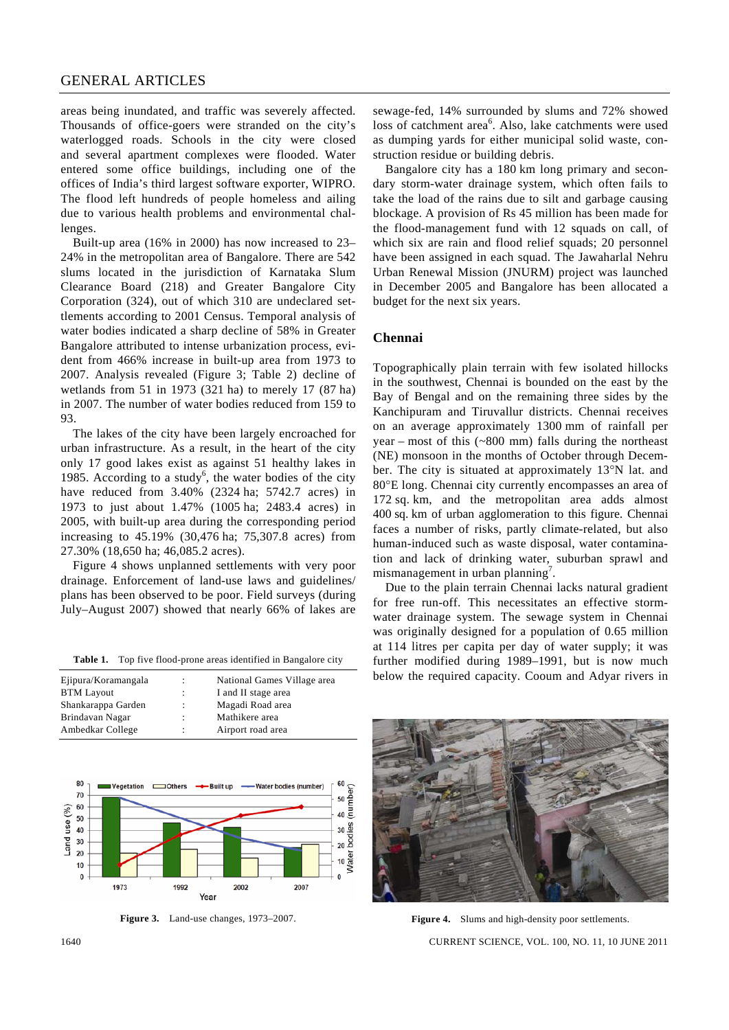## GENERAL ARTICLES

areas being inundated, and traffic was severely affected. Thousands of office-goers were stranded on the city's waterlogged roads. Schools in the city were closed and several apartment complexes were flooded. Water entered some office buildings, including one of the offices of India's third largest software exporter, WIPRO. The flood left hundreds of people homeless and ailing due to various health problems and environmental challenges.

 Built-up area (16% in 2000) has now increased to 23– 24% in the metropolitan area of Bangalore. There are 542 slums located in the jurisdiction of Karnataka Slum Clearance Board (218) and Greater Bangalore City Corporation (324), out of which 310 are undeclared settlements according to 2001 Census. Temporal analysis of water bodies indicated a sharp decline of 58% in Greater Bangalore attributed to intense urbanization process, evident from 466% increase in built-up area from 1973 to 2007. Analysis revealed (Figure 3; Table 2) decline of wetlands from 51 in 1973 (321 ha) to merely 17 (87 ha) in 2007. The number of water bodies reduced from 159 to 93.

 The lakes of the city have been largely encroached for urban infrastructure. As a result, in the heart of the city only 17 good lakes exist as against 51 healthy lakes in 1985. According to a study<sup>6</sup>, the water bodies of the city have reduced from 3.40% (2324 ha; 5742.7 acres) in 1973 to just about 1.47% (1005 ha; 2483.4 acres) in 2005, with built-up area during the corresponding period increasing to 45.19% (30,476 ha; 75,307.8 acres) from 27.30% (18,650 ha; 46,085.2 acres).

 Figure 4 shows unplanned settlements with very poor drainage. Enforcement of land-use laws and guidelines/ plans has been observed to be poor. Field surveys (during July–August 2007) showed that nearly 66% of lakes are

**Table 1.** Top five flood-prone areas identified in Bangalore city

| Ejipura/Koramangala | $\ddot{\phantom{0}}$ | National Games Village area |
|---------------------|----------------------|-----------------------------|
| <b>BTM</b> Layout   |                      | I and II stage area         |
| Shankarappa Garden  | ÷                    | Magadi Road area            |
| Brindavan Nagar     | ÷                    | Mathikere area              |
| Ambedkar College    |                      | Airport road area           |
|                     |                      |                             |



**Figure 3.** Land-use changes, 1973–2007.

sewage-fed, 14% surrounded by slums and 72% showed loss of catchment area<sup>6</sup>. Also, lake catchments were used as dumping yards for either municipal solid waste, construction residue or building debris.

 Bangalore city has a 180 km long primary and secondary storm-water drainage system, which often fails to take the load of the rains due to silt and garbage causing blockage. A provision of Rs 45 million has been made for the flood-management fund with 12 squads on call, of which six are rain and flood relief squads; 20 personnel have been assigned in each squad. The Jawaharlal Nehru Urban Renewal Mission (JNURM) project was launched in December 2005 and Bangalore has been allocated a budget for the next six years.

### **Chennai**

Topographically plain terrain with few isolated hillocks in the southwest, Chennai is bounded on the east by the Bay of Bengal and on the remaining three sides by the Kanchipuram and Tiruvallur districts. Chennai receives on an average approximately 1300 mm of rainfall per year – most of this (~800 mm) falls during the northeast (NE) monsoon in the months of October through December. The city is situated at approximately 13°N lat. and 80°E long. Chennai city currently encompasses an area of 172 sq. km, and the metropolitan area adds almost 400 sq. km of urban agglomeration to this figure. Chennai faces a number of risks, partly climate-related, but also human-induced such as waste disposal, water contamination and lack of drinking water, suburban sprawl and mismanagement in urban planning<sup>7</sup>.

 Due to the plain terrain Chennai lacks natural gradient for free run-off. This necessitates an effective stormwater drainage system. The sewage system in Chennai was originally designed for a population of 0.65 million at 114 litres per capita per day of water supply; it was further modified during 1989–1991, but is now much below the required capacity. Cooum and Adyar rivers in



1640 CURRENT SCIENCE, VOL. 100, NO. 11, 10 JUNE 2011 **Figure 4.** Slums and high-density poor settlements.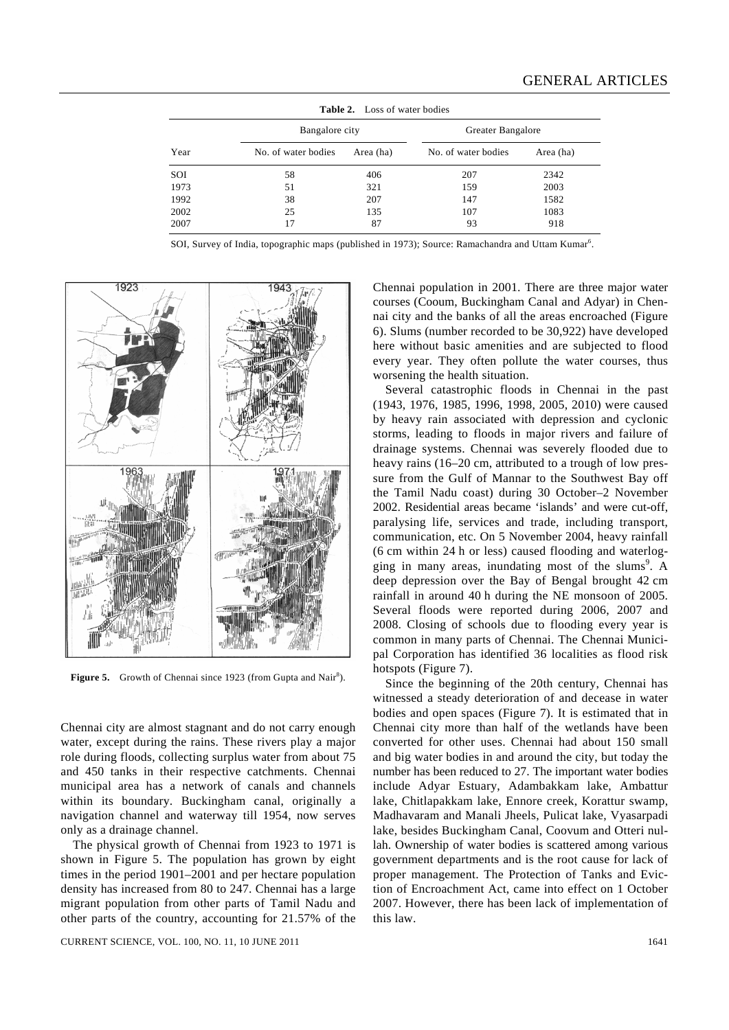| <b>Table 2.</b> Loss of water bodies |                     |           |                     |           |  |  |
|--------------------------------------|---------------------|-----------|---------------------|-----------|--|--|
|                                      | Bangalore city      |           | Greater Bangalore   |           |  |  |
| Year                                 | No. of water bodies | Area (ha) | No. of water bodies | Area (ha) |  |  |
| SOI                                  | 58                  | 406       | 207                 | 2342      |  |  |
| 1973                                 | 51                  | 321       | 159                 | 2003      |  |  |
| 1992                                 | 38                  | 207       | 147                 | 1582      |  |  |
| 2002                                 | 25                  | 135       | 107                 | 1083      |  |  |
| 2007                                 | 17                  | 87        | 93                  | 918       |  |  |

SOI, Survey of India, topographic maps (published in 1973); Source: Ramachandra and Uttam Kumar<sup>6</sup>.



Figure 5. Growth of Chennai since 1923 (from Gupta and Nair<sup>8</sup>).

Chennai city are almost stagnant and do not carry enough water, except during the rains. These rivers play a major role during floods, collecting surplus water from about 75 and 450 tanks in their respective catchments. Chennai municipal area has a network of canals and channels within its boundary. Buckingham canal, originally a navigation channel and waterway till 1954, now serves only as a drainage channel.

 The physical growth of Chennai from 1923 to 1971 is shown in Figure 5. The population has grown by eight times in the period 1901–2001 and per hectare population density has increased from 80 to 247. Chennai has a large migrant population from other parts of Tamil Nadu and other parts of the country, accounting for 21.57% of the

CURRENT SCIENCE, VOL. 100, NO. 11, 10 JUNE 2011 1641

Chennai population in 2001. There are three major water courses (Cooum, Buckingham Canal and Adyar) in Chennai city and the banks of all the areas encroached (Figure 6). Slums (number recorded to be 30,922) have developed here without basic amenities and are subjected to flood every year. They often pollute the water courses, thus worsening the health situation.

 Several catastrophic floods in Chennai in the past (1943, 1976, 1985, 1996, 1998, 2005, 2010) were caused by heavy rain associated with depression and cyclonic storms, leading to floods in major rivers and failure of drainage systems. Chennai was severely flooded due to heavy rains (16–20 cm, attributed to a trough of low pressure from the Gulf of Mannar to the Southwest Bay off the Tamil Nadu coast) during 30 October–2 November 2002. Residential areas became 'islands' and were cut-off, paralysing life, services and trade, including transport, communication, etc. On 5 November 2004, heavy rainfall (6 cm within 24 h or less) caused flooding and waterlogging in many areas, inundating most of the slums<sup>9</sup>. A deep depression over the Bay of Bengal brought 42 cm rainfall in around 40 h during the NE monsoon of 2005. Several floods were reported during 2006, 2007 and 2008. Closing of schools due to flooding every year is common in many parts of Chennai. The Chennai Municipal Corporation has identified 36 localities as flood risk hotspots (Figure 7).

 Since the beginning of the 20th century, Chennai has witnessed a steady deterioration of and decease in water bodies and open spaces (Figure 7). It is estimated that in Chennai city more than half of the wetlands have been converted for other uses. Chennai had about 150 small and big water bodies in and around the city, but today the number has been reduced to 27. The important water bodies include Adyar Estuary, Adambakkam lake, Ambattur lake, Chitlapakkam lake, Ennore creek, Korattur swamp, Madhavaram and Manali Jheels, Pulicat lake, Vyasarpadi lake, besides Buckingham Canal, Coovum and Otteri nullah. Ownership of water bodies is scattered among various government departments and is the root cause for lack of proper management. The Protection of Tanks and Eviction of Encroachment Act, came into effect on 1 October 2007. However, there has been lack of implementation of this law.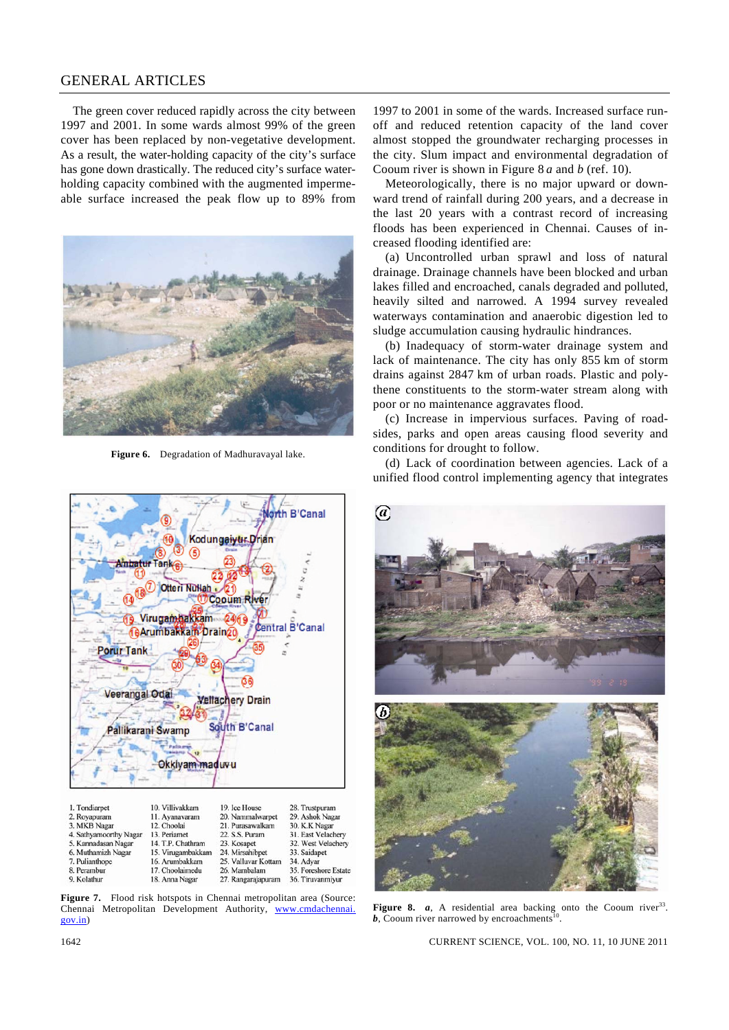## GENERAL ARTICLES

 The green cover reduced rapidly across the city between 1997 and 2001. In some wards almost 99% of the green cover has been replaced by non-vegetative development. As a result, the water-holding capacity of the city's surface has gone down drastically. The reduced city's surface waterholding capacity combined with the augmented impermeable surface increased the peak flow up to 89% from



**Figure 6.** Degradation of Madhuravayal lake.



| 1. Tondiarpet          | 10. Villivakkam   | 19. Ice House       | 28. Trustpuram       |
|------------------------|-------------------|---------------------|----------------------|
| 2. Royapuram           | 11. Avanavaram    | 20. Nammalwarpet    | 29. Ashok Nagar      |
| 3. MKB Nagar           | 12. Choolai       | 21. Purasawalkam    | 30. K.K Nagar        |
| 4. Sathyamoorthy Nagar | 13. Periamet      | 22. S.S. Puram      | 31. East Velachery   |
| 5. Kannadasan Nagar    | 14. T.P. Chathram | 23. Kosapet         | 32. West Velachery   |
| 6. Muthamizh Nagar     | 15. Virugambakkam | 24. Mirsahibpet     | 33. Saidapet         |
| 7. Pulianthope         | 16. Arumbakkam    | 25. Valluvar Kottam | 34. Advar            |
| 8. Perambur            | 17. Choolaimedu   | 26. Mambalam        | 35. Foreshore Estate |
| 9. Kolathur            | 18. Anna Nagar    | 27. Rangarajapuram  | 36. Tiruvanmiyur     |
|                        |                   |                     |                      |

Figure 7. Flood risk hotspots in Chennai metropolitan area (Source: Chennai Metropolitan Development Authority, www.cmdachennai. gov.in)

1997 to 2001 in some of the wards. Increased surface runoff and reduced retention capacity of the land cover almost stopped the groundwater recharging processes in the city. Slum impact and environmental degradation of Cooum river is shown in Figure 8 *a* and *b* (ref. 10).

 Meteorologically, there is no major upward or downward trend of rainfall during 200 years, and a decrease in the last 20 years with a contrast record of increasing floods has been experienced in Chennai. Causes of increased flooding identified are:

 (a) Uncontrolled urban sprawl and loss of natural drainage. Drainage channels have been blocked and urban lakes filled and encroached, canals degraded and polluted, heavily silted and narrowed. A 1994 survey revealed waterways contamination and anaerobic digestion led to sludge accumulation causing hydraulic hindrances.

 (b) Inadequacy of storm-water drainage system and lack of maintenance. The city has only 855 km of storm drains against 2847 km of urban roads. Plastic and polythene constituents to the storm-water stream along with poor or no maintenance aggravates flood.

 (c) Increase in impervious surfaces. Paving of roadsides, parks and open areas causing flood severity and conditions for drought to follow.

 (d) Lack of coordination between agencies. Lack of a unified flood control implementing agency that integrates



**Figure 8.**  $a$ , A residential area backing onto the Cooum river<sup>33</sup>. **, Cooum river narrowed by encroachments<sup>10</sup>.**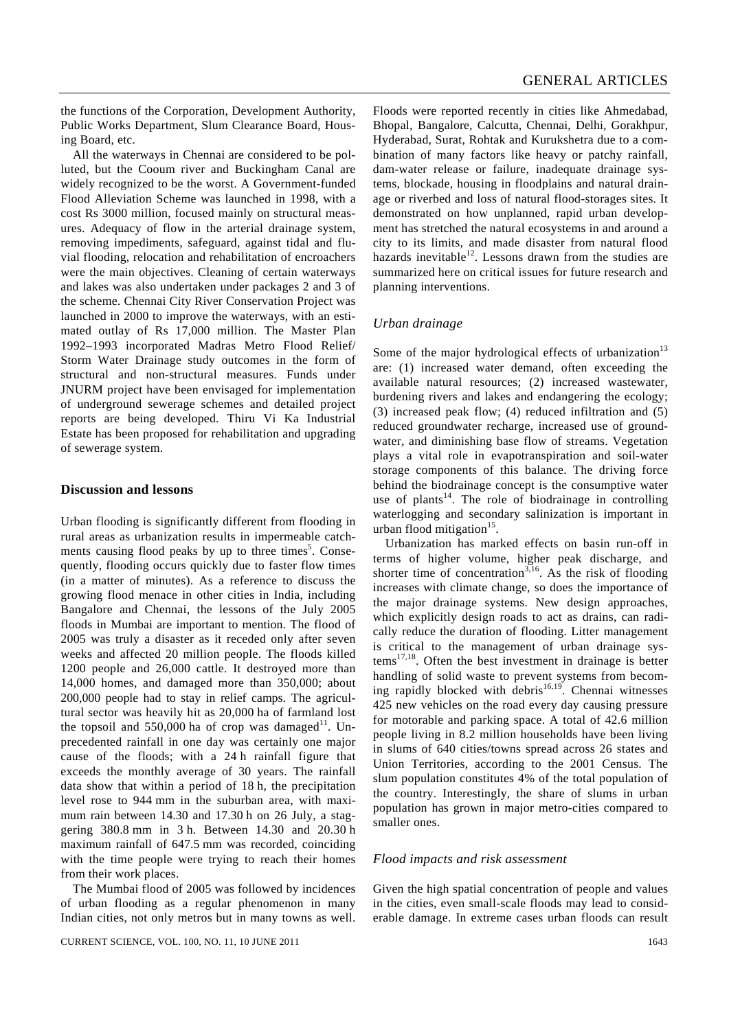the functions of the Corporation, Development Authority, Public Works Department, Slum Clearance Board, Housing Board, etc.

 All the waterways in Chennai are considered to be polluted, but the Cooum river and Buckingham Canal are widely recognized to be the worst. A Government-funded Flood Alleviation Scheme was launched in 1998, with a cost Rs 3000 million, focused mainly on structural measures. Adequacy of flow in the arterial drainage system, removing impediments, safeguard, against tidal and fluvial flooding, relocation and rehabilitation of encroachers were the main objectives. Cleaning of certain waterways and lakes was also undertaken under packages 2 and 3 of the scheme. Chennai City River Conservation Project was launched in 2000 to improve the waterways, with an estimated outlay of Rs 17,000 million. The Master Plan 1992–1993 incorporated Madras Metro Flood Relief/ Storm Water Drainage study outcomes in the form of structural and non-structural measures. Funds under JNURM project have been envisaged for implementation of underground sewerage schemes and detailed project reports are being developed. Thiru Vi Ka Industrial Estate has been proposed for rehabilitation and upgrading of sewerage system.

### **Discussion and lessons**

Urban flooding is significantly different from flooding in rural areas as urbanization results in impermeable catchments causing flood peaks by up to three times<sup>5</sup>. Consequently, flooding occurs quickly due to faster flow times (in a matter of minutes). As a reference to discuss the growing flood menace in other cities in India, including Bangalore and Chennai, the lessons of the July 2005 floods in Mumbai are important to mention. The flood of 2005 was truly a disaster as it receded only after seven weeks and affected 20 million people. The floods killed 1200 people and 26,000 cattle. It destroyed more than 14,000 homes, and damaged more than 350,000; about 200,000 people had to stay in relief camps. The agricultural sector was heavily hit as 20,000 ha of farmland lost the topsoil and  $550,000$  ha of crop was damaged<sup>11</sup>. Unprecedented rainfall in one day was certainly one major cause of the floods; with a 24 h rainfall figure that exceeds the monthly average of 30 years. The rainfall data show that within a period of 18 h, the precipitation level rose to 944 mm in the suburban area, with maximum rain between 14.30 and 17.30 h on 26 July, a staggering 380.8 mm in 3 h. Between 14.30 and 20.30 h maximum rainfall of 647.5 mm was recorded, coinciding with the time people were trying to reach their homes from their work places.

 The Mumbai flood of 2005 was followed by incidences of urban flooding as a regular phenomenon in many Indian cities, not only metros but in many towns as well. Floods were reported recently in cities like Ahmedabad, Bhopal, Bangalore, Calcutta, Chennai, Delhi, Gorakhpur, Hyderabad, Surat, Rohtak and Kurukshetra due to a combination of many factors like heavy or patchy rainfall, dam-water release or failure, inadequate drainage systems, blockade, housing in floodplains and natural drainage or riverbed and loss of natural flood-storages sites. It demonstrated on how unplanned, rapid urban development has stretched the natural ecosystems in and around a city to its limits, and made disaster from natural flood hazards inevitable $12$ . Lessons drawn from the studies are summarized here on critical issues for future research and planning interventions.

#### *Urban drainage*

Some of the major hydrological effects of urbanization $13$ are: (1) increased water demand, often exceeding the available natural resources; (2) increased wastewater, burdening rivers and lakes and endangering the ecology; (3) increased peak flow; (4) reduced infiltration and (5) reduced groundwater recharge, increased use of groundwater, and diminishing base flow of streams. Vegetation plays a vital role in evapotranspiration and soil-water storage components of this balance. The driving force behind the biodrainage concept is the consumptive water use of plants<sup>14</sup>. The role of biodrainage in controlling waterlogging and secondary salinization is important in urban flood mitigation $15$ .

 Urbanization has marked effects on basin run-off in terms of higher volume, higher peak discharge, and shorter time of concentration<sup>3,16</sup>. As the risk of flooding increases with climate change, so does the importance of the major drainage systems. New design approaches, which explicitly design roads to act as drains, can radically reduce the duration of flooding. Litter management is critical to the management of urban drainage sys $t_{\text{em}}$ ,  $t_{\text{at}}$  and  $t_{\text{at}}$  often the best investment in drainage is better handling of solid waste to prevent systems from becoming rapidly blocked with debris<sup>16,19</sup>. Chennai witnesses 425 new vehicles on the road every day causing pressure for motorable and parking space. A total of 42.6 million people living in 8.2 million households have been living in slums of 640 cities/towns spread across 26 states and Union Territories, according to the 2001 Census. The slum population constitutes 4% of the total population of the country. Interestingly, the share of slums in urban population has grown in major metro-cities compared to smaller ones.

#### *Flood impacts and risk assessment*

Given the high spatial concentration of people and values in the cities, even small-scale floods may lead to considerable damage. In extreme cases urban floods can result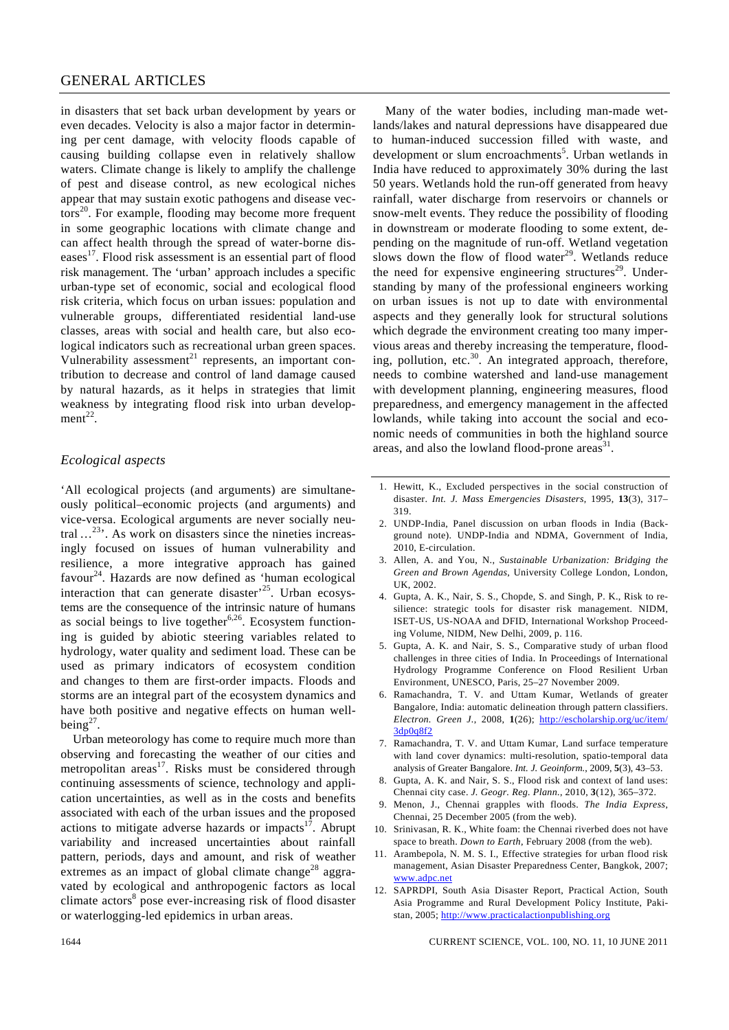## GENERAL ARTICLES

in disasters that set back urban development by years or even decades. Velocity is also a major factor in determining per cent damage, with velocity floods capable of causing building collapse even in relatively shallow waters. Climate change is likely to amplify the challenge of pest and disease control, as new ecological niches appear that may sustain exotic pathogens and disease vec- $\cos^{20}$ . For example, flooding may become more frequent in some geographic locations with climate change and can affect health through the spread of water-borne diseases<sup>17</sup>. Flood risk assessment is an essential part of flood risk management. The 'urban' approach includes a specific urban-type set of economic, social and ecological flood risk criteria, which focus on urban issues: population and vulnerable groups, differentiated residential land-use classes, areas with social and health care, but also ecological indicators such as recreational urban green spaces. Vulnerability assessment<sup>21</sup> represents, an important contribution to decrease and control of land damage caused by natural hazards, as it helps in strategies that limit weakness by integrating flood risk into urban develop $ment<sup>22</sup>$ .

## *Ecological aspects*

'All ecological projects (and arguments) are simultaneously political–economic projects (and arguments) and vice-versa. Ecological arguments are never socially neutral  $\ldots$ <sup>23</sup>. As work on disasters since the nineties increasingly focused on issues of human vulnerability and resilience, a more integrative approach has gained  $favour<sup>24</sup>$ . Hazards are now defined as 'human ecological interaction that can generate disaster $^{25}$ . Urban ecosystems are the consequence of the intrinsic nature of humans as social beings to live together<sup>6,26</sup>. Ecosystem functioning is guided by abiotic steering variables related to hydrology, water quality and sediment load. These can be used as primary indicators of ecosystem condition and changes to them are first-order impacts. Floods and storms are an integral part of the ecosystem dynamics and have both positive and negative effects on human wellbeing $2^7$ .

 Urban meteorology has come to require much more than observing and forecasting the weather of our cities and metropolitan areas<sup>17</sup>. Risks must be considered through continuing assessments of science, technology and application uncertainties, as well as in the costs and benefits associated with each of the urban issues and the proposed actions to mitigate adverse hazards or impacts $17$ . Abrupt variability and increased uncertainties about rainfall pattern, periods, days and amount, and risk of weather extremes as an impact of global climate change<sup>28</sup> aggravated by ecological and anthropogenic factors as local climate actors<sup>8</sup> pose ever-increasing risk of flood disaster or waterlogging-led epidemics in urban areas.

 Many of the water bodies, including man-made wetlands/lakes and natural depressions have disappeared due to human-induced succession filled with waste, and development or slum encroachments<sup>5</sup>. Urban wetlands in India have reduced to approximately 30% during the last 50 years. Wetlands hold the run-off generated from heavy rainfall, water discharge from reservoirs or channels or snow-melt events. They reduce the possibility of flooding in downstream or moderate flooding to some extent, depending on the magnitude of run-off. Wetland vegetation slows down the flow of flood water $2<sup>9</sup>$ . Wetlands reduce the need for expensive engineering structures<sup>29</sup>. Understanding by many of the professional engineers working on urban issues is not up to date with environmental aspects and they generally look for structural solutions which degrade the environment creating too many impervious areas and thereby increasing the temperature, flooding, pollution, etc.<sup>30</sup>. An integrated approach, therefore, needs to combine watershed and land-use management with development planning, engineering measures, flood preparedness, and emergency management in the affected lowlands, while taking into account the social and economic needs of communities in both the highland source areas, and also the lowland flood-prone areas<sup>31</sup>.

- 1. Hewitt, K., Excluded perspectives in the social construction of disaster. *Int. J. Mass Emergencies Disasters*, 1995, **13**(3), 317– 319.
- 2. UNDP-India, Panel discussion on urban floods in India (Background note). UNDP-India and NDMA, Government of India, 2010, E-circulation.
- 3. Allen, A. and You, N., *Sustainable Urbanization: Bridging the Green and Brown Agendas*, University College London, London, UK, 2002.
- 4. Gupta, A. K., Nair, S. S., Chopde, S. and Singh, P. K., Risk to resilience: strategic tools for disaster risk management. NIDM, ISET-US, US-NOAA and DFID, International Workshop Proceeding Volume, NIDM, New Delhi, 2009, p. 116.
- 5. Gupta, A. K. and Nair, S. S., Comparative study of urban flood challenges in three cities of India. In Proceedings of International Hydrology Programme Conference on Flood Resilient Urban Environment, UNESCO, Paris, 25–27 November 2009.
- 6. Ramachandra, T. V. and Uttam Kumar, Wetlands of greater Bangalore, India: automatic delineation through pattern classifiers. *Electron. Green J.*, 2008, **1**(26); http://escholarship.org/uc/item/ 3dp0q8f2
- 7. Ramachandra, T. V. and Uttam Kumar, Land surface temperature with land cover dynamics: multi-resolution, spatio-temporal data analysis of Greater Bangalore. *Int. J. Geoinform.*, 2009, **5**(3), 43–53.
- 8. Gupta, A. K. and Nair, S. S., Flood risk and context of land uses: Chennai city case. *J. Geogr. Reg. Plann.*, 2010, **3**(12), 365–372.
- 9. Menon, J., Chennai grapples with floods. *The India Express*, Chennai, 25 December 2005 (from the web).
- 10. Srinivasan, R. K., White foam: the Chennai riverbed does not have space to breath. *Down to Earth*, February 2008 (from the web).
- 11. Arambepola, N. M. S. I., Effective strategies for urban flood risk management, Asian Disaster Preparedness Center, Bangkok, 2007; www.adpc.net
- 12. SAPRDPI, South Asia Disaster Report, Practical Action, South Asia Programme and Rural Development Policy Institute, Pakistan, 2005; http://www.practicalactionpublishing.org